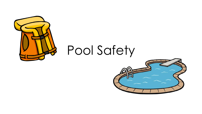

## Pool Safety

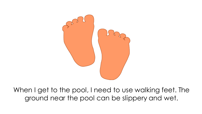

When I get to the pool, I need to use walking feet. The ground near the pool can be slippery and wet.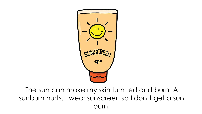

The sun can make my skin turn red and burn. A sunburn hurts. I wear sunscreen so I don't get a sun burn.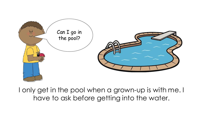

I only get in the pool when a grown-up is with me. I have to ask before getting into the water.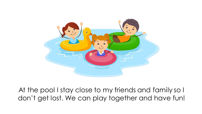

At the pool I stay close to my friends and family so I don't get lost. We can play together and have fun!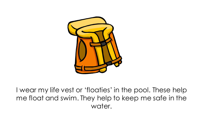

I wear my life vest or 'floaties' in the pool. These help me float and swim. They help to keep me safe in the water.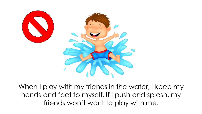

When I play with my friends in the water, I keep my hands and feet to myself. If I push and splash, my friends won't want to play with me.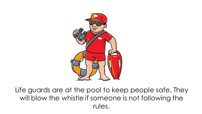

Life guards are at the pool to keep people safe. They will blow the whistle if someone is not following the rules.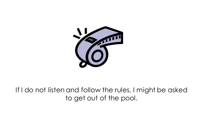

## If I do not listen and follow the rules, I might be asked to get out of the pool.